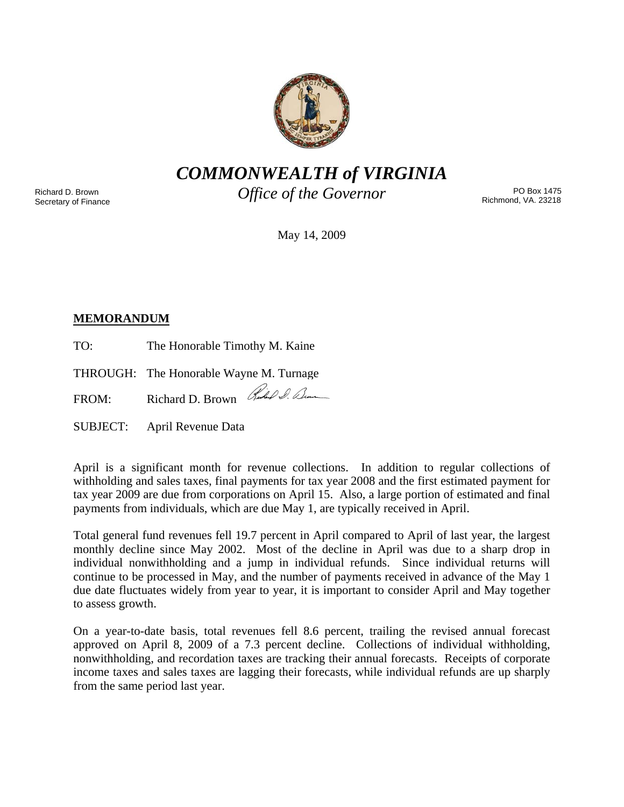

*COMMONWEALTH of VIRGINIA* 

Richard D. Brown Secretary of Finance *Office of the Governor* 

PO Box 1475 Richmond, VA. 23218

May 14, 2009

# **MEMORANDUM**

TO: The Honorable Timothy M. Kaine

THROUGH: The Honorable Wayne M. Turnage

FROM: Richard D. Brown Rue O. Dum

SUBJECT: April Revenue Data

April is a significant month for revenue collections. In addition to regular collections of withholding and sales taxes, final payments for tax year 2008 and the first estimated payment for tax year 2009 are due from corporations on April 15. Also, a large portion of estimated and final payments from individuals, which are due May 1, are typically received in April.

Total general fund revenues fell 19.7 percent in April compared to April of last year, the largest monthly decline since May 2002. Most of the decline in April was due to a sharp drop in individual nonwithholding and a jump in individual refunds. Since individual returns will continue to be processed in May, and the number of payments received in advance of the May 1 due date fluctuates widely from year to year, it is important to consider April and May together to assess growth.

On a year-to-date basis, total revenues fell 8.6 percent, trailing the revised annual forecast approved on April 8, 2009 of a 7.3 percent decline. Collections of individual withholding, nonwithholding, and recordation taxes are tracking their annual forecasts. Receipts of corporate income taxes and sales taxes are lagging their forecasts, while individual refunds are up sharply from the same period last year.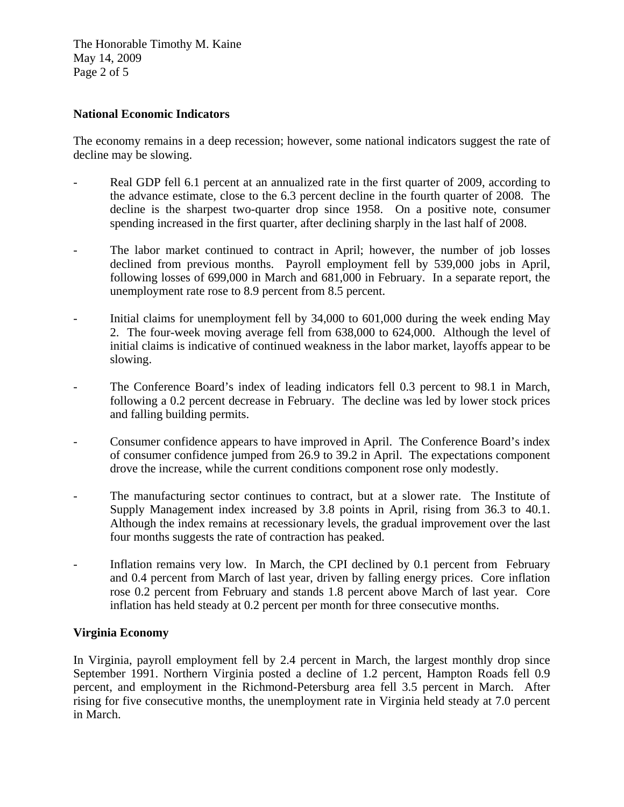The Honorable Timothy M. Kaine May 14, 2009 Page 2 of 5

## **National Economic Indicators**

The economy remains in a deep recession; however, some national indicators suggest the rate of decline may be slowing.

- Real GDP fell 6.1 percent at an annualized rate in the first quarter of 2009, according to the advance estimate, close to the 6.3 percent decline in the fourth quarter of 2008. The decline is the sharpest two-quarter drop since 1958. On a positive note, consumer spending increased in the first quarter, after declining sharply in the last half of 2008.
- The labor market continued to contract in April; however, the number of job losses declined from previous months. Payroll employment fell by 539,000 jobs in April, following losses of 699,000 in March and 681,000 in February. In a separate report, the unemployment rate rose to 8.9 percent from 8.5 percent.
- Initial claims for unemployment fell by 34,000 to 601,000 during the week ending May 2. The four-week moving average fell from 638,000 to 624,000. Although the level of initial claims is indicative of continued weakness in the labor market, layoffs appear to be slowing.
- The Conference Board's index of leading indicators fell 0.3 percent to 98.1 in March, following a 0.2 percent decrease in February. The decline was led by lower stock prices and falling building permits.
- Consumer confidence appears to have improved in April. The Conference Board's index of consumer confidence jumped from 26.9 to 39.2 in April. The expectations component drove the increase, while the current conditions component rose only modestly.
- The manufacturing sector continues to contract, but at a slower rate. The Institute of Supply Management index increased by 3.8 points in April, rising from 36.3 to 40.1. Although the index remains at recessionary levels, the gradual improvement over the last four months suggests the rate of contraction has peaked.
- Inflation remains very low. In March, the CPI declined by 0.1 percent from February and 0.4 percent from March of last year, driven by falling energy prices. Core inflation rose 0.2 percent from February and stands 1.8 percent above March of last year. Core inflation has held steady at 0.2 percent per month for three consecutive months.

#### **Virginia Economy**

In Virginia, payroll employment fell by 2.4 percent in March, the largest monthly drop since September 1991. Northern Virginia posted a decline of 1.2 percent, Hampton Roads fell 0.9 percent, and employment in the Richmond-Petersburg area fell 3.5 percent in March. After rising for five consecutive months, the unemployment rate in Virginia held steady at 7.0 percent in March.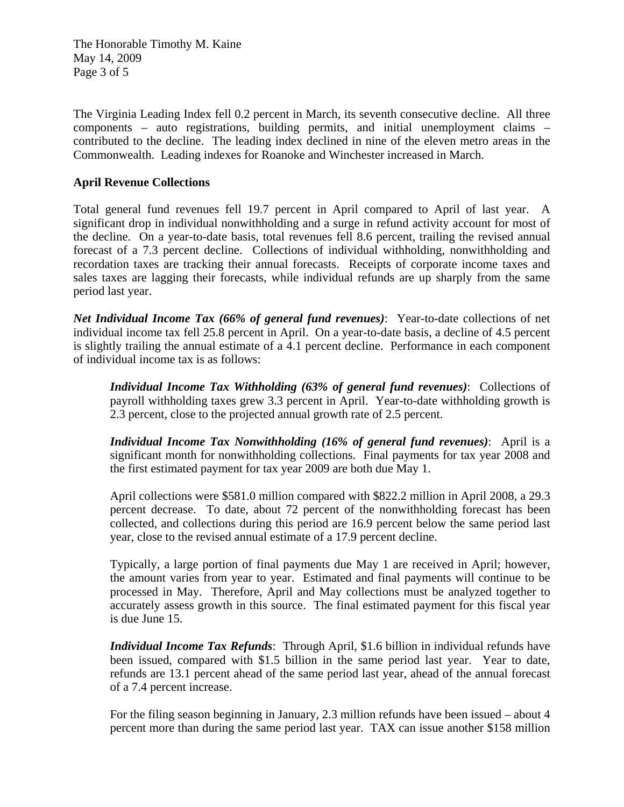The Honorable Timothy M. Kaine May 14, 2009 Page 3 of 5

The Virginia Leading Index fell 0.2 percent in March, its seventh consecutive decline. All three components – auto registrations, building permits, and initial unemployment claims – contributed to the decline. The leading index declined in nine of the eleven metro areas in the Commonwealth. Leading indexes for Roanoke and Winchester increased in March.

## **April Revenue Collections**

Total general fund revenues fell 19.7 percent in April compared to April of last year. A significant drop in individual nonwithholding and a surge in refund activity account for most of the decline. On a year-to-date basis, total revenues fell 8.6 percent, trailing the revised annual forecast of a 7.3 percent decline. Collections of individual withholding, nonwithholding and recordation taxes are tracking their annual forecasts. Receipts of corporate income taxes and sales taxes are lagging their forecasts, while individual refunds are up sharply from the same period last year.

*Net Individual Income Tax (66% of general fund revenues)*: Year-to-date collections of net individual income tax fell 25.8 percent in April. On a year-to-date basis, a decline of 4.5 percent is slightly trailing the annual estimate of a 4.1 percent decline. Performance in each component of individual income tax is as follows:

*Individual Income Tax Withholding (63% of general fund revenues)*: Collections of payroll withholding taxes grew 3.3 percent in April. Year-to-date withholding growth is 2.3 percent, close to the projected annual growth rate of 2.5 percent.

*Individual Income Tax Nonwithholding (16% of general fund revenues)*: April is a significant month for nonwithholding collections. Final payments for tax year 2008 and the first estimated payment for tax year 2009 are both due May 1.

April collections were \$581.0 million compared with \$822.2 million in April 2008, a 29.3 percent decrease. To date, about 72 percent of the nonwithholding forecast has been collected, and collections during this period are 16.9 percent below the same period last year, close to the revised annual estimate of a 17.9 percent decline.

Typically, a large portion of final payments due May 1 are received in April; however, the amount varies from year to year. Estimated and final payments will continue to be processed in May. Therefore, April and May collections must be analyzed together to accurately assess growth in this source. The final estimated payment for this fiscal year is due June 15.

*Individual Income Tax Refunds*: Through April, \$1.6 billion in individual refunds have been issued, compared with \$1.5 billion in the same period last year. Year to date, refunds are 13.1 percent ahead of the same period last year, ahead of the annual forecast of a 7.4 percent increase.

For the filing season beginning in January, 2.3 million refunds have been issued – about 4 percent more than during the same period last year. TAX can issue another \$158 million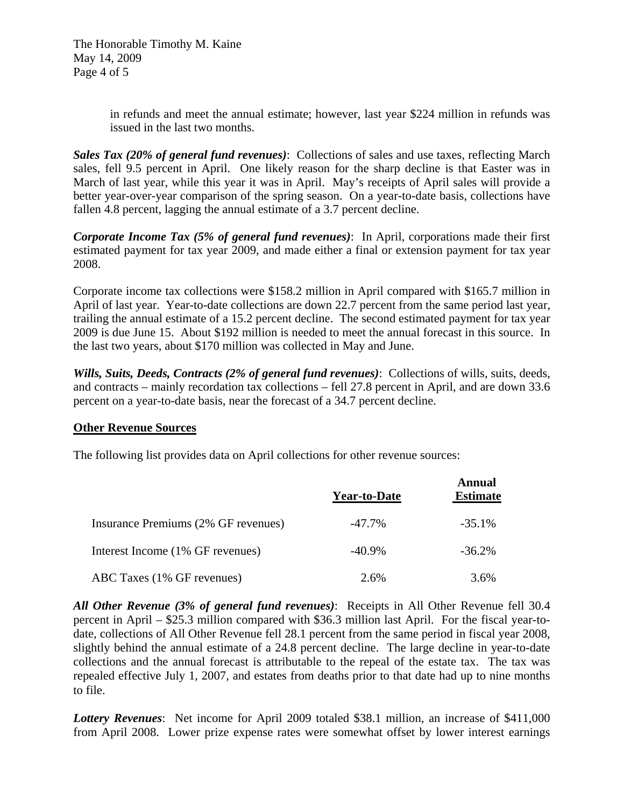The Honorable Timothy M. Kaine May 14, 2009 Page 4 of 5

> in refunds and meet the annual estimate; however, last year \$224 million in refunds was issued in the last two months.

*Sales Tax (20% of general fund revenues)*: Collections of sales and use taxes, reflecting March sales, fell 9.5 percent in April. One likely reason for the sharp decline is that Easter was in March of last year, while this year it was in April. May's receipts of April sales will provide a better year-over-year comparison of the spring season. On a year-to-date basis, collections have fallen 4.8 percent, lagging the annual estimate of a 3.7 percent decline.

*Corporate Income Tax (5% of general fund revenues)*: In April, corporations made their first estimated payment for tax year 2009, and made either a final or extension payment for tax year 2008.

Corporate income tax collections were \$158.2 million in April compared with \$165.7 million in April of last year. Year-to-date collections are down 22.7 percent from the same period last year, trailing the annual estimate of a 15.2 percent decline. The second estimated payment for tax year 2009 is due June 15. About \$192 million is needed to meet the annual forecast in this source. In the last two years, about \$170 million was collected in May and June.

*Wills, Suits, Deeds, Contracts (2% of general fund revenues)*: Collections of wills, suits, deeds, and contracts – mainly recordation tax collections – fell 27.8 percent in April, and are down 33.6 percent on a year-to-date basis, near the forecast of a 34.7 percent decline.

#### **Other Revenue Sources**

The following list provides data on April collections for other revenue sources:

|                                     | <b>Year-to-Date</b> | Annual<br><b>Estimate</b> |
|-------------------------------------|---------------------|---------------------------|
| Insurance Premiums (2% GF revenues) | $-47.7\%$           | $-35.1%$                  |
| Interest Income (1% GF revenues)    | $-40.9\%$           | $-36.2\%$                 |
| ABC Taxes (1% GF revenues)          | 2.6%                | 3.6%                      |

*All Other Revenue (3% of general fund revenues)*: Receipts in All Other Revenue fell 30.4 percent in April – \$25.3 million compared with \$36.3 million last April. For the fiscal year-todate, collections of All Other Revenue fell 28.1 percent from the same period in fiscal year 2008, slightly behind the annual estimate of a 24.8 percent decline. The large decline in year-to-date collections and the annual forecast is attributable to the repeal of the estate tax. The tax was repealed effective July 1, 2007, and estates from deaths prior to that date had up to nine months to file.

*Lottery Revenues*: Net income for April 2009 totaled \$38.1 million, an increase of \$411,000 from April 2008. Lower prize expense rates were somewhat offset by lower interest earnings